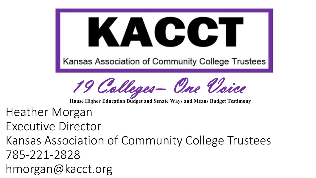KACC Kansas Association of Community College Trustees

19 Colleges– One Voice

**House Higher Education Budget and Senate Ways and Means Budget Testimony**

Heather Morgan

Executive Director

Kansas Association of Community College Trustees

785-221-2828

hmorgan@kacct.org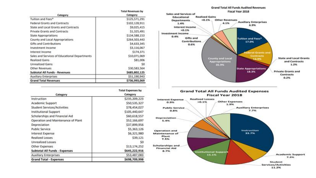|                                               | <b>Total Revenues by</b> |
|-----------------------------------------------|--------------------------|
| Category                                      | Category                 |
| Tuiltion and Fees*                            | \$125,571,291            |
| Federal Grants and Contracts                  | \$102,128,911            |
| State and Local Grants and Contracts          | \$9,025,415              |
| Private Grants and Contracts                  | \$1,325,491              |
| <b>State Appropriations</b>                   | \$134,588,153            |
| County and Local Appropriations               | \$264,503,443            |
| Gifts and Contributions                       | \$4,633,345              |
| Investment Income                             | \$3,116,067              |
| Interest Income                               | \$174,371                |
| Sales and Services of Educational Departments | \$10,071,069             |
| <b>Realized Gains</b>                         | \$81,006                 |
| Unrealized Gains                              | SO.                      |
| <b>Other Revenues</b>                         | \$30,583,564             |
| Subtotal All Funds - Revenues                 | \$685,802,125            |
| <b>Auxiliary Enterprises</b>                  | \$51,190,943             |
| <b>Grand Total Revenues</b>                   | \$736,993,069            |

|                                    | <b>Total Expenses by</b> |
|------------------------------------|--------------------------|
| Category                           | Category                 |
| Instruction                        | \$235,209,223            |
| Academic Support                   | \$50,535,327             |
| <b>Student Services/Activities</b> | \$78,454,027             |
| Institutional Support              | \$105,440,647            |
| Scholarships and Financial Aid     | \$60,618,557             |
| Operation and Maintenance of Plant | \$52,166,697             |
| Depreciation                       | \$37,899,956             |
| <b>Public Service</b>              | \$5,363,126              |
| Interest Expense                   | \$6,321,980              |
| Realized Losses                    | \$39,121                 |
| <b>Unrealized Losses</b>           | SO                       |
| Other Expenses                     | \$13,174,252             |
| Subtotal All Funds - Expenses      | \$645,222,916            |
| Auxiliary Enterprises              | \$53,487,083             |
| <b>Grand Total - Expenses</b>      | \$698,709,998            |



**Institutional Support** 

15.1%

**Services/Activities** 11.2%

Student

**Academic Support** 

 $7.2%$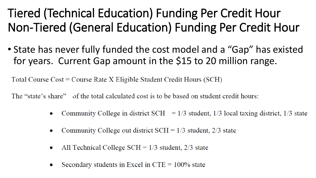# Tiered (Technical Education) Funding Per Credit Hour Non-Tiered (General Education) Funding Per Credit Hour

• State has never fully funded the cost model and a "Gap" has existed for years. Current Gap amount in the \$15 to 20 million range.

Total Course  $Cost = Course$  Rate  $X$  Eligible Student Credit Hours (SCH)

The "state's share" of the total calculated cost is to be based on student credit hours:

- Community College in district SCH  $= 1/3$  student, 1/3 local taxing district, 1/3 state  $\bullet$
- Community College out district  $SCH = 1/3$  student, 2/3 state
- All Technical College SCH =  $1/3$  student,  $2/3$  state  $\bullet$
- Secondary students in Excel in  $CTE = 100\%$  state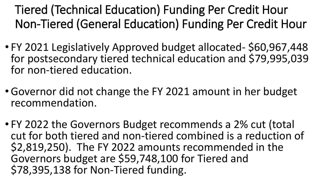Tiered (Technical Education) Funding Per Credit Hour Non-Tiered (General Education) Funding Per Credit Hour

- FY 2021 Legislatively Approved budget allocated- \$60,967,448 for postsecondary tiered technical education and \$79,995,039 for non-tiered education.
- •Governor did not change the FY 2021 amount in her budget recommendation.
- FY 2022 the Governors Budget recommends a 2% cut (total cut for both tiered and non-tiered combined is a reduction of \$2,819,250). The FY 2022 amounts recommended in the Governors budget are \$59,748,100 for Tiered and \$78,395,138 for Non-Tiered funding.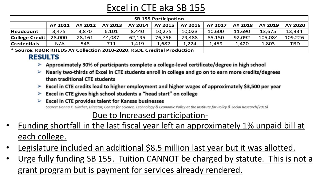# Excel in CTE aka SB 155

| Excel in CTE aka SB 155 |                                                                        |         |         |         |                |         |         |                |         |            |  |  |
|-------------------------|------------------------------------------------------------------------|---------|---------|---------|----------------|---------|---------|----------------|---------|------------|--|--|
|                         | <b>SB 155 Participation</b>                                            |         |         |         |                |         |         |                |         |            |  |  |
|                         | AY 2011                                                                | AY 2012 | AY 2013 | AY 2014 | <b>AY 2015</b> | AY 2016 | AY 2017 | <b>AY 2018</b> | AY 2019 | AY 2020    |  |  |
| <b>Headcount</b>        | 3,475                                                                  | 3,870   | 6,101   | 8,440   | 10,275         | 10,023  | 10,600  | 11,690         | 13,675  | 13,934     |  |  |
| <b>College Credit</b>   | 28,000                                                                 | 28,161  | 44,087  | 62,195  | 76,756         | 79,488  | 85,150  | 92,092         | 105,084 | 109,226    |  |  |
| <b>Credentials</b>      | N/A                                                                    | 548     | 711     | 1,419   | 1,682          | 1,224   | 1,459   | 1,420          | 1,803   | <b>TBD</b> |  |  |
|                         | * Source: KBOR KHEDS AY Collection 2010-2020; KSDE Credital Production |         |         |         |                |         |         |                |         |            |  |  |
|                         | <b>RESULTS</b>                                                         |         |         |         |                |         |         |                |         |            |  |  |

- 
- $\triangleright$  Nearly two-thirds of Excel in CTE students enroll in college and go on to earn more credits/degrees than traditional CTE students
- $\triangleright$  Excel in CTE credits lead to higher employment and higher wages of approximately \$3,500 per year
- $\triangleright$  Excel in CTE gives high school students a "head start" on college
- **Excel in CTE provides talent for Kansas businesses** Source: Donna K. Ginther, Director, Center for Science, Technology & Economic Policy at the Institute for Policy & Social Research (2016)

### Due to Increased participation-

- Funding shortfall in the last fiscal year left an approximately 1% unpaid bill at each college.
- Legislature included an additional \$8.5 million last year but it was allotted.
- Urge fully funding SB 155. Tuition CANNOT be charged by statute. This is not a grant program but is payment for services already rendered.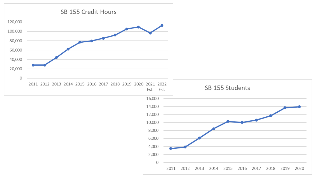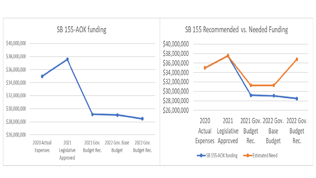

### SB 155 Recommended vs. Needed Funding

\$40,000,000 \$38,000,000 \$36,000,000 \$34,000,000 \$32,000,000 \$30,000,000 \$28,000,000 \$26,000,000



2020 2021 2021 Gov. 2022 Gov. 2022 Gov. **Budget** Legislative Actual Budget Base Expenses Approved Rec. **Budget** Rec.

SB 155-AOK funding - Estimated Need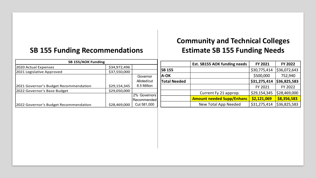### **SB 155 Funding Recommendations Estimate SB 155 Funding Needs**

# **Community and Technical Colleges**

| <b>SB 155/AOK Funding</b>             |                              |                     |                                  | Est. SB155 AOK funding needs | <b>FY 2021</b> | FY 2022      |
|---------------------------------------|------------------------------|---------------------|----------------------------------|------------------------------|----------------|--------------|
| 2020 Actual Expenses                  | \$34,972,496                 |                     |                                  |                              |                |              |
| 2021 Legislative Approved             | \$37,550,000                 |                     | <b>SB 155</b>                    |                              | \$30,775,414   | \$36,072,643 |
|                                       |                              | Governor            | <b>A-OK</b>                      |                              | \$500,000      | 752,940      |
| Alloted/cut                           |                              | <b>Total Needed</b> |                                  | \$31,275,414                 | \$36,825,583   |              |
| 2021 Governor's Budget Recommendation | \$29,154,345                 | 8.5 Million         |                                  |                              | FY 2021        | FY 2022      |
| 2022 Governor's Base Budget           | \$29,050,000<br>2% Governors |                     | Current Fy 21 approp.            | \$29,154,345                 | \$28,469,000   |              |
| Recommended                           |                              |                     | <b>Amount needed Supp/Enhanc</b> | \$2,121,069                  | \$8,356,583    |              |
| 2022 Governor's Budget Recommendation | \$28,469,000                 | Cut 581,000         |                                  | New Total App Needed         | \$31,275,414   | \$36,825,583 |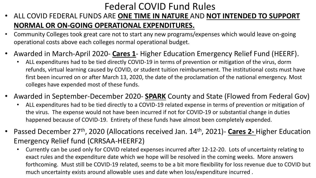# Federal COVID Fund Rules

- ALL COVID FEDERAL FUNDS ARE **ONE TIME IN NATURE** AND **NOT INTENDED TO SUPPORT NORMAL OR ON-GOING OPERATIONAL EXPENDITURES.**
- Community Colleges took great care not to start any new programs/expenses which would leave on-going operational costs above each colleges normal operational budget.
- Awarded in March-April 2020- **Cares 1** Higher Education Emergency Relief Fund (HEERF).
	- ALL expenditures had to be tied directly COVID-19 in terms of prevention or mitigation of the virus, dorm refunds, virtual learning caused by COVID, or student tuition reimbursement. The institutional costs must have first been incurred on or after March 13, 2020, the date of the proclamation of the national emergency. Most colleges have expended most of these funds.
- Awarded in September-December 2020- **SPARK** County and State (Flowed from Federal Gov)
	- ALL expenditures had to be tied directly to a COVID-19 related expense in terms of prevention or mitigation of the virus. The expense would not have been incurred if not for COVID-19 or substantial change in duties happened because of COVID-19. Entirety of these funds have almost been completely expended.
- Passed December 27th, 2020 (Allocations received Jan. 14th, 2021)- **Cares 2-** Higher Education Emergency Relief fund (CRRSAA-HEERF2)
	- Currently can be used only for COVID related expenses incurred after 12-12-20. Lots of uncertainty relating to exact rules and the expenditure date which we hope will be resolved in the coming weeks. More answers forthcoming. Must still be COVID-19 related, seems to be a bit more flexibility for loss revenue due to COVID but much uncertainty exists around allowable uses and date when loss/expenditure incurred .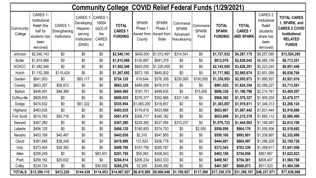|                      | <b>Community College COVID Relief Federal Funds (1/29/2021)</b>                          |                                                  |                                                                          |                                                                |                                                  |                                                 |                                                             |                                                       |                                  |                                                |                                                    |                                                                                 |                                                                                                                       |
|----------------------|------------------------------------------------------------------------------------------|--------------------------------------------------|--------------------------------------------------------------------------|----------------------------------------------------------------|--------------------------------------------------|-------------------------------------------------|-------------------------------------------------------------|-------------------------------------------------------|----------------------------------|------------------------------------------------|----------------------------------------------------|---------------------------------------------------------------------------------|-----------------------------------------------------------------------------------------------------------------------|
| Community<br>College | CARES 1-<br>Institutional<br>Relief (the<br>half for<br>students has<br>been<br>removed) | <b>CARES 1-</b><br>Strengthening<br>Institutions | CARES 1-<br>Developing<br>Hispanic-<br>serving<br>Institutions<br>(DHSI) | CARES 1-<br>18004<br>$(a)(3)$ of<br>the<br><b>CARES</b><br>Act | <b>TOTAL</b><br><b>CARES 1</b><br><b>FUNDING</b> | <b>SPARK</b><br>Phase 1<br>Award from<br>County | <b>SPARK</b><br>Phase 2<br>Award from<br><b>State</b>       | Commerce<br><b>SPARK</b><br>Advanced<br>Manufacturing | Commerce<br><b>SPARK</b><br>Food | <b>TOTAL</b><br><b>SPARK</b><br><b>FUNDING</b> | <b>TOTAL</b><br><b>CARES 1</b><br><b>AND SPARK</b> | CARES 2<br>Insitutional<br>Relief<br>(students<br>share has<br>been<br>removed) | <b>TOTAL CARES</b><br>1, SPARK, and<br><b>CARES 2 COVID</b><br><b>Institutional</b><br><b>RELATED</b><br><b>FUNDS</b> |
| Johnson              | \$2,540,143                                                                              | \$0                                              | \$0                                                                      | \$0                                                            | \$2,540,143                                      | \$400,000                                       | \$1,012,491                                                 | \$314,541                                             | \$0                              | \$1,727,032                                    | \$4,267,175                                        | \$9,257,090                                                                     | \$13,524,265                                                                                                          |
| <b>Butler</b>        | \$1,815,966                                                                              | \$0                                              | \$0                                                                      | \$0                                                            | \$1,815,966                                      | \$130,697                                       | \$681,379                                                   | \$0                                                   | \$0                              | \$812,076                                      | \$2,628,042                                        | \$6,085,159                                                                     | \$8,713,201                                                                                                           |
| <b>KCKCC</b>         | \$1,482,546                                                                              | \$0                                              | \$0                                                                      | \$0                                                            | \$1,482,546                                      | \$925,000                                       | \$1,220,655                                                 | \$0                                                   | \$0                              | \$2,145,655                                    | \$3,628,201                                        | \$5,223,245                                                                     | \$8,851,446                                                                                                           |
| Hutch                | \$1,152,268                                                                              | \$115,424                                        | \$0                                                                      | \$0                                                            | \$1,267,692                                      | \$872,150                                       | \$845,832                                                   | \$0                                                   | \$0                              | \$1,717,982                                    | \$2,985,674                                        | \$3,851,090                                                                     | \$6,836,764                                                                                                           |
| Garden               | \$641,003                                                                                | \$0                                              | \$83,117                                                                 | \$0                                                            | \$724,120                                        | 619,644                                         | \$376,309                                                   | \$235,000                                             | \$100,000                        | \$1,330,953                                    | \$2,055,073                                        | \$1,865,937                                                                     | \$3,921,010                                                                                                           |
| Cowley               | \$603,357                                                                                | \$59,972                                         | \$0                                                                      | \$0                                                            | \$663,329                                        | \$485,006                                       | \$476,019                                                   | \$0                                                   | \$0                              | \$961,025                                      | \$1,624,354                                        | \$2,089,227                                                                     | \$3,713,581                                                                                                           |
| <b>Barton</b>        | \$448,091                                                                                | \$46,369                                         | \$0                                                                      | \$0                                                            | \$494,460                                        | \$181,701                                       | \$499,635                                                   | \$0                                                   | \$15,000                         | \$696,336                                      | \$1,190,796                                        | \$2,214,761                                                                     | \$3,405,557                                                                                                           |
| Coffeyville          | \$609,935                                                                                | \$0                                              | \$0                                                                      | \$0                                                            | \$609,935                                        | \$276,377                                       | \$352,866                                                   | \$331,149                                             | \$0                              | \$960,392                                      | \$1,570,327                                        | \$1,909,250                                                                     | \$3,479,577                                                                                                           |
| Dodge                | \$474,632                                                                                | \$0                                              | \$61,322                                                                 | \$0                                                            | \$535,954                                        | \$1,065,200                                     | \$318,657                                                   | \$0                                                   | \$0                              | \$1,383,857                                    | \$1,919,811                                        | \$1,346,313                                                                     | \$3,266,124                                                                                                           |
| Highland             | \$483,635                                                                                | \$0                                              | \$0                                                                      | \$0                                                            | \$483,635                                        | \$179,819                                       | \$423,988                                                   | \$0                                                   | \$0                              | \$603,807                                      | \$1,087,442                                        | \$1,831,444                                                                     | \$2,918,886                                                                                                           |
| Fort Scott           | \$510,763                                                                                | \$50,716                                         | \$0                                                                      | \$0                                                            | \$561,479                                        | \$308,717                                       | \$345,182                                                   | \$0                                                   | \$0                              | \$653,899                                      | \$1,215,378                                        | \$1,665,112                                                                     | \$2,880,490                                                                                                           |
| Seward               | \$367,280                                                                                | \$0                                              | \$0                                                                      | \$0                                                            | \$367,280                                        | \$229,392                                       | \$537,094                                                   | \$310,237                                             | \$0                              | \$1,076,723                                    | \$1,444,003                                        | \$1,168,097                                                                     | \$2,612,100                                                                                                           |
| Labette              | \$406,120                                                                                | \$0                                              | \$0                                                                      | \$0                                                            | \$406,120                                        | \$180,803                                       | \$374,753                                                   | \$0                                                   | \$2,500                          | \$558,056                                      | \$964,176                                          | \$1,555,506                                                                     | \$2,519,682                                                                                                           |
| Neosho               | \$403,169                                                                                | \$40,467                                         | \$0                                                                      | \$0                                                            | \$443,636                                        | \$2,310                                         | \$547,855                                                   | \$0                                                   | \$0                              | \$550,165                                      | \$993,801                                          | \$1,338,897                                                                     | \$2,332,698                                                                                                           |
| Cloud                | \$381,648                                                                                | \$38,248                                         | \$0                                                                      | \$0                                                            | \$419,896                                        | 137,823                                         | \$306,778                                                   | \$0                                                   | \$0                              | \$444,601                                      | \$864,497                                          | \$1,286,229                                                                     | \$2,150,726                                                                                                           |
| Indy                 | \$373,404                                                                                | \$36,392                                         | \$0                                                                      | \$0                                                            | \$409,796                                        | \$107,756                                       | \$265,787                                                   | \$0                                                   | \$0                              | \$373,543                                      | \$783,339                                          | \$1,058,617                                                                     | \$1,841,956                                                                                                           |
| Allen                | \$208,249                                                                                | \$0                                              | \$0                                                                      | \$83,501                                                       | \$291,750                                        | \$55,063                                        | \$408,043                                                   | \$0                                                   | \$0                              | \$463,106                                      | \$754,856                                          | \$867,967                                                                       | \$1,622,823                                                                                                           |
| Pratt                | \$259,182                                                                                | \$25,632                                         | \$0                                                                      | \$0                                                            | \$284,814                                        | \$206,234                                       | \$263,333                                                   | \$0                                                   | \$0                              | \$469,567                                      | \$754,381                                          | \$806,407                                                                       | \$1,560,788                                                                                                           |
| Colby                | \$234,724                                                                                | \$0                                              | \$0                                                                      | \$30,552                                                       | \$265,276                                        | 52,205                                          | \$349,392                                                   | \$0                                                   | \$0                              | \$401,597                                      | \$666,873                                          | \$817,523                                                                       | \$1,484,396                                                                                                           |
| <b>TOTALS</b>        | \$13,396,115                                                                             | \$413,220                                        | \$144,439                                                                |                                                                | $$114,053$ $$14,067,827$                         |                                                 | $\vert$ \$6,415,895 $\vert$ \$9,606,048 $\vert$ \$1,190,927 |                                                       | \$117,500                        | \$17,330,370                                   | \$31,398,197                                       | \$46,237,871                                                                    | \$77,636,068                                                                                                          |
|                      |                                                                                          |                                                  |                                                                          |                                                                |                                                  |                                                 |                                                             |                                                       |                                  |                                                |                                                    |                                                                                 |                                                                                                                       |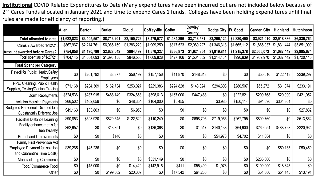**Institutional** COVID Related Expenditures to Date (Many expenditures have been incurred but are not included below because of 2<sup>nd</sup> Cares Funds allocated in January 2021 and time to expend Cares 1 funds. Colleges have been holding expenditures until final rules are made for efficiency of reporting.)

|                                                                                              | <b>Allen</b> | Barton      | <b>Butler</b> | <b>Cloud</b> | Coffeyville | <b>Colby</b> | <b>Cowley</b><br>County | <b>Dodge City</b> | Ft. Scott   | <b>Garden City</b> | Highland    | <b>Hutchinson</b> |
|----------------------------------------------------------------------------------------------|--------------|-------------|---------------|--------------|-------------|--------------|-------------------------|-------------------|-------------|--------------------|-------------|-------------------|
| Total allocated to date:                                                                     | \$1,622,823  | \$3,405,557 | \$8,713,201   | \$2,150,726  | \$3,479,577 | \$1,484,396  | \$3,713,581             | \$3,266,124       | \$2,880,490 | \$3,921,010        | \$2,918,886 | \$6,836,764       |
| Cares 2 Awarded 1/12/21                                                                      | \$867,967    | \$2,214,761 | \$6,085,159   | \$1,286,229  | \$1,909,250 | \$817,523    | \$2,089,227             | \$1,346,313       | \$1,665,112 | \$1,865,937        | \$1,831,444 | \$3,851,090       |
| Amount awarded before Cares2:                                                                | \$754,856    | \$1,190,796 | \$2,628,042   | \$864,497    | \$1,570,327 | \$666,873    | \$1,624,354             | \$1,919,811       | \$1,215,378 | \$2,055,073        | \$1,087,442 | \$2,985,674       |
| Total spent as of 1/27/21:                                                                   | \$704,145    | \$1,634,093 | \$1,693,158   | \$846,556    | \$1,609,828 | \$427,106    | \$1,564,382             | \$1,214,434       | \$990,839   | \$1,969,970        | \$1,087,442 | \$1,720,110       |
| <b>Total Spent per Category:</b>                                                             |              |             |               |              |             |              |                         |                   |             |                    |             |                   |
| Payroll for Public Health/Safety<br>Employees                                                | \$0          | \$261,792   | \$8,377       | \$56,197     | \$157,156   | \$11,870     | \$148,618               | \$0               | \$0         | \$50,516           | \$122,413   | \$239,297         |
| PPE, Cleaning, Public Health<br>Supplies, Testing/Contact Tracing                            | \$71,168     | \$234,309   | \$162,734     | \$253,027    | \$229,386   | \$224,828    | \$148,324               | \$294,308         | \$280,507   | \$65,272           | \$31,374    | \$233,191         |
| Dorm Repayments                                                                              | \$324,536    | \$287,915   | \$488,149     | \$324,663    | \$398,613   | \$167,000    | \$447,488               | \$0               | \$222,821   | \$299,768          | \$20,000    | \$421,052         |
| <b>Isolation Housing Payments</b>                                                            | \$66,502     | \$162,059   | \$0           | \$48,354     | \$104,000   | \$5,455      |                         | \$3,985           | \$150,114   | \$94,596           | \$304,804   | \$0               |
| Budgeted Personnel Diverted to a<br><b>Substantially Different Use</b>                       | \$49,163     | \$33,863    | \$0           | \$6,950      | \$0         | \$0          | \$0                     | \$0               | \$0         | \$0                | \$0         | \$27,832          |
| <b>Facilitate Distance Learning</b>                                                          | \$90,853     | \$593,920   | \$820,545     | \$122,629    | \$110,240   | \$0          | \$698,795               | \$719,055         | \$267,795   | \$800,760          | \$0         | \$513,864         |
| Facility enhancements for<br>health/safety                                                   | \$62,657     | \$0         | \$13,851      | \$0          | \$136,368   | \$0          | \$1,517                 | \$140,138         | \$64,900    | \$260,954          | \$488,728   | \$220,934         |
| Broadband Improvements                                                                       | \$0          | \$0         | \$140         | \$0          | \$0         | \$0          | \$0                     | \$54,973          | \$4,702     | \$11,804           | \$0         | \$0               |
| Family First Prevention Act<br>(Employee Payment for Isolation<br>and Quarentine Time Costs) | \$39,265     | \$45,236    | \$0           | \$0          | \$0         | \$0          | \$0                     | \$0               | \$0         | \$0                | \$50,133    | \$50,450          |
| <b>Manufacturing Commerce</b>                                                                | \$0          | \$0         | \$0           | \$0          | \$331,149   | \$0          | \$0                     | \$0               | \$0         | \$235,000          | \$0         | \$0               |
| Food/ Commerce Food                                                                          | \$0          | \$15,000    | \$0           | \$14,429     | \$142,916   | \$411        | \$55,409                | \$1,976           | \$0         | \$100,000          | \$18,845    | \$0               |
| Other                                                                                        | \$0          | \$0         | \$199,362     | \$20,307     | \$0         | \$17,542     | \$64,230                | \$0               | \$0         | \$51,300           | \$51,145    | \$13,491          |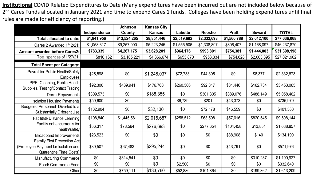**Institutional** COVID Related Expenditures to Date (Many expenditures have been incurred but are not included below because of 2<sup>nd</sup> Cares Funds allocated in January 2021 and time to expend Cares 1 funds. Colleges have been holding expenditures until final rules are made for efficiency of reporting.)

|                                                                                                            |              | Johnson      | <b>Kansas City</b> |                |               |              |               |              |
|------------------------------------------------------------------------------------------------------------|--------------|--------------|--------------------|----------------|---------------|--------------|---------------|--------------|
|                                                                                                            | Independence | County       | <b>Kansas</b>      | <b>Labette</b> | <b>Neosho</b> | <b>Pratt</b> | <b>Seward</b> | <b>TOTAL</b> |
| Total allocated to date:                                                                                   | \$1,841,956  | \$13,524,265 | \$8,851,446        | \$2,519,682    | \$2,332,698   | \$1,560,788  | \$2,612,100   | \$77,636,068 |
| Cares 2 Awarded 1/12/21:                                                                                   | \$1,058,617  | \$9,257,090  | \$5,223,245        | \$1,555,506    | \$1,338,897   | \$806,407    | \$1,168,097   | \$46,237,870 |
| <b>Amount awarded before Cares2:</b>                                                                       | \$783,339    | \$4,267,175  | \$3,628,201        | \$964,176      | \$993,801     | \$754,381    | \$1,444,003   | \$31,398,198 |
| Total spent as of 1/27/21:                                                                                 | \$810,162    | \$3,105,221  | \$4,366,674        | \$653,870      | \$953,334     | \$754,628    | \$2,003,395   | \$27,021,902 |
| <b>Total Spent per Category:</b>                                                                           |              |              |                    |                |               |              |               |              |
| Payroll for Public Health/Safety<br>Employees                                                              | \$25,598     | \$0          | \$1,248,037        | \$72,733       | \$44,305      | \$0          | \$8,377       | \$2,332,873  |
| PPE, Cleaning, Public Health<br>Supplies, Testing/Contact Tracing                                          | \$92,300     | \$439,941    | \$176,768          | \$260,506      | \$92,317      | \$31,446     | \$162,734     | \$3,453,065  |
| Dorm Repayments                                                                                            | \$309,573    | \$0          | \$188,355          | \$0            | \$301,305     | \$389,076    | \$488,149     | \$5,058,462  |
| <b>Isolation Housing Payments</b>                                                                          | \$50,600     | \$0          |                    | \$6,739        | \$201         | \$43,373     | \$0           | \$735,979    |
| Budgeted Personnel Diverted to a<br><b>Substantially Different Use</b>                                     | \$132,904    | \$0          | \$32,130           | \$0            | \$72,178      | \$46,559     | \$0           | \$401,580    |
| <b>Facilitate Distance Learning</b>                                                                        | \$108,840    | \$1,445,581  | \$2,015,687        | \$258,512      | \$63,508      | \$57,016     | \$820,545     | \$9,508,144  |
| Facility enhancements for<br>health/safety                                                                 | \$36,317     | \$78,564     | \$276,693          | \$0            | \$277,654     | \$104,458    | \$13,851      | \$1,688,857  |
| <b>Broadband Improvements</b>                                                                              | \$23,523     | \$0          | \$0                | \$0            | \$0           | \$38,908     | \$140         | \$134,190    |
| <b>Family First Prevention Act</b><br>(Employee Payment for Isolation and<br><b>Quarentine Time Costs)</b> | \$30,507     | \$67,483     | \$295,244          | \$0            | \$0           | \$43,791     | \$0           | \$571,976    |
| <b>Manufacturing Commerce</b>                                                                              | \$0          | \$314,541    | \$0                | \$0            | \$0           | \$0          | \$310,237     | \$1,190,927  |
| Food/ Commerce Food                                                                                        | \$0          | \$0          | \$0                | \$2,500        | \$0           | \$0          | \$0           | \$332,640    |
| Other                                                                                                      | \$0          | \$759,111    | \$133,760          | \$52,880       | \$101,864     | \$0          | \$199,362     | \$1,613,209  |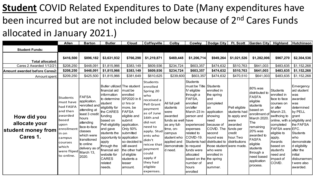# **Student** COVID Related Expenditures to Date (Many expenditures have been incurred but are not included below because of 2<sup>nd</sup> Cares Funds allocated in January 2021.)

|                                                                                                             | <b>Allen</b>                                                                                                                                                  | <b>Barton</b>                                                                                                                                                                                                       | <b>Butler</b>                                                                                                                                                                                                                                                                                                            | <b>Cloud</b>                                                                                                                                                                                                                                       | Coffeyville                                                                                                                                                                                                                                              | Colby                                                                                                                                                              | Cowley                                                                                                                                                                                                                                                                                            | <b>Dodge City</b>                                                                                                                                                                                                                                  | <b>Ft. Scott</b>                                                                                                     | Garden City                                                                                                                                                                                                                                             | Highland                                                                                                                                                                                                                             | Hutchinson                                                                                                                                                                                                                                              |
|-------------------------------------------------------------------------------------------------------------|---------------------------------------------------------------------------------------------------------------------------------------------------------------|---------------------------------------------------------------------------------------------------------------------------------------------------------------------------------------------------------------------|--------------------------------------------------------------------------------------------------------------------------------------------------------------------------------------------------------------------------------------------------------------------------------------------------------------------------|----------------------------------------------------------------------------------------------------------------------------------------------------------------------------------------------------------------------------------------------------|----------------------------------------------------------------------------------------------------------------------------------------------------------------------------------------------------------------------------------------------------------|--------------------------------------------------------------------------------------------------------------------------------------------------------------------|---------------------------------------------------------------------------------------------------------------------------------------------------------------------------------------------------------------------------------------------------------------------------------------------------|----------------------------------------------------------------------------------------------------------------------------------------------------------------------------------------------------------------------------------------------------|----------------------------------------------------------------------------------------------------------------------|---------------------------------------------------------------------------------------------------------------------------------------------------------------------------------------------------------------------------------------------------------|--------------------------------------------------------------------------------------------------------------------------------------------------------------------------------------------------------------------------------------|---------------------------------------------------------------------------------------------------------------------------------------------------------------------------------------------------------------------------------------------------------|
| <b>Student Funds:</b>                                                                                       |                                                                                                                                                               |                                                                                                                                                                                                                     |                                                                                                                                                                                                                                                                                                                          |                                                                                                                                                                                                                                                    |                                                                                                                                                                                                                                                          |                                                                                                                                                                    |                                                                                                                                                                                                                                                                                                   |                                                                                                                                                                                                                                                    |                                                                                                                      |                                                                                                                                                                                                                                                         |                                                                                                                                                                                                                                      |                                                                                                                                                                                                                                                         |
| <b>Total allocated:</b><br>Cares 2 Awarded 1/12/21<br><b>Amount awarded before Cares2:</b><br>Amount spent: | \$416,500<br>\$208,250<br>\$208,250<br>\$209,250                                                                                                              | \$896,182<br>\$448,091<br>\$448,091<br>\$425,500                                                                                                                                                                    | \$3,631,932<br>\$1,815,966<br>\$1,815,966<br>\$1,815,966                                                                                                                                                                                                                                                                 | \$766,298<br>\$383,149<br>\$383,149<br>\$381,649                                                                                                                                                                                                   | \$1,219,871<br>\$609,936<br>\$609,936<br>\$610,625                                                                                                                                                                                                       | \$469,448<br>\$234,724<br>\$234,724<br>\$239,600                                                                                                                   | \$1,206,714<br>\$603,357<br>\$603,357<br>\$603,357                                                                                                                                                                                                                                                | \$949,264<br>\$474,632<br>\$474,632<br>\$474,632                                                                                                                                                                                                   | \$1,021,526<br>\$510,763<br>\$510,763<br>\$470,510                                                                   | \$1,282,006<br>\$641,003<br>\$641,003<br>\$641,003                                                                                                                                                                                                      | \$967,270<br>\$483,635<br>\$483,635<br>\$483,635                                                                                                                                                                                     | \$2,304,536<br>\$1,152,268<br>\$1,152,268<br>\$1,152,268                                                                                                                                                                                                |
| How did you<br>allocate your<br>student money from <br>Cares 1.                                             | Students<br>must have<br>had FASFA<br>and then<br>awarded<br>based<br>upon<br>enrollment<br>lin on<br>campus<br>courses<br>which<br>were fliped<br>to online. | <b>FAFSA</b><br>application.<br>•enrolled and<br>attending at<br>least 3 credit<br>hours<br>attending<br>face-to-face<br>classes<br>which were<br>transitioned<br>to online<br>delivery as of<br>March 13,<br>2020. | Butler utilized The student<br>financial aid<br>information<br>to determine<br>student<br>eligibility for<br>the CARES<br>funding<br>based on<br>Pell eligibility<br>and gave<br>students the<br>opportunity to application<br>apply<br>through the<br>financial aid<br>website for<br><b>CARES</b><br>related<br>needs. | must be<br>enrolled<br>SP2020 in 6<br>cr hrs or<br>more, be<br><b>FAFSA</b><br>eligible and<br>submit<br>application.<br>Only 50%<br>submitted<br>so decided to<br>still award<br>the other half<br>of eligible<br>students a<br>lesser<br>amount. | Students<br>enrolled<br>Spring 20<br>who<br>received a<br>Pell Grant<br>payment<br>as of June<br>16th and<br>did not<br>need to<br>apply. Stud<br>ents who<br>didn't<br>reicve that<br>payment<br>could<br>apply if<br>they had<br>eligible<br>expenses. | All full pell <br>students<br>were<br>awarded<br>funds as well have<br>as any full-<br>time, on-<br>campus<br>student who<br>applied and<br>demonstrate<br>d need. | Students<br>must be Title<br>IV eligible<br>through a<br>FAFSA,<br>enrolled<br>on/after<br>March 23 in-<br>person and<br>experienced<br>expenses<br>related to<br>COVID-19.<br>Students had<br>to request<br>funds were<br>allocated<br>based on the the spring<br>number of<br>hours<br>enrolled | Students<br>enrolled in<br>the spring<br>land<br>completed<br>lan<br>application<br>showing<br>need<br>because of<br>COVID. The<br>second<br>round was<br>distributed to<br>those student were made.<br>who were<br>enrolled in<br>land<br>summer. | Pell eligible<br>students had<br>to apply and<br>were<br>awarded<br>funds per<br>credit<br>hour.Two<br>distributions | 80% was<br>distributed to<br><b>FASFA</b><br>eligible<br>students<br>based on<br>enrollment of<br>March 2020<br>The<br>remaining<br>20% was<br>awarded to<br><b>FASFA</b><br>eligible<br>students<br>through a<br>need based<br>application<br>process. | <b>Students</b><br>enrolled in<br>face to face<br>courses on<br>or after<br>March 23,<br>swithcing to<br>completed<br>FAFSA were EFC.<br>eligible to<br>apply.<br>Awards<br>based on<br>student's<br>need and<br>impact of<br>COVID. | Emergency<br>aid student<br>was<br>awarded<br>was<br>determined<br>by PELL<br>grant<br>online, with a eligibility and<br>the FAFSA<br>Students<br>who<br>demonstrate<br>d eligibility<br>after the<br>initial<br>disbursemen<br>t were also<br>awarded. |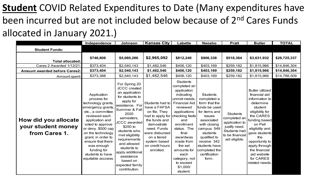# **Student** COVID Related Expenditures to Date (Many expenditures have been incurred but are not included below because of 2<sup>nd</sup> Cares Funds allocated in January 2021.)

|                                                                                                             | Independence                                                                                                                                                                                                                                                                                                    | Johnson                                                                                                                                                                                                                                                                                                                                                 | <b>Kansas City</b>                                                                                                                                                                                                 | Labette                                                                                                                                                                                                                                                                                        | <b>Neosho</b>                                                                                                                                                                                                                                   | <b>Pratt</b>                                                                                                           | <b>Butler</b>                                                                                                                                                                                                                                                                              | <b>TOTAL</b>                                                 |
|-------------------------------------------------------------------------------------------------------------|-----------------------------------------------------------------------------------------------------------------------------------------------------------------------------------------------------------------------------------------------------------------------------------------------------------------|---------------------------------------------------------------------------------------------------------------------------------------------------------------------------------------------------------------------------------------------------------------------------------------------------------------------------------------------------------|--------------------------------------------------------------------------------------------------------------------------------------------------------------------------------------------------------------------|------------------------------------------------------------------------------------------------------------------------------------------------------------------------------------------------------------------------------------------------------------------------------------------------|-------------------------------------------------------------------------------------------------------------------------------------------------------------------------------------------------------------------------------------------------|------------------------------------------------------------------------------------------------------------------------|--------------------------------------------------------------------------------------------------------------------------------------------------------------------------------------------------------------------------------------------------------------------------------------------|--------------------------------------------------------------|
| <b>Student Funds:</b>                                                                                       |                                                                                                                                                                                                                                                                                                                 |                                                                                                                                                                                                                                                                                                                                                         |                                                                                                                                                                                                                    |                                                                                                                                                                                                                                                                                                |                                                                                                                                                                                                                                                 |                                                                                                                        |                                                                                                                                                                                                                                                                                            |                                                              |
| <b>Total allocated:</b><br>Cares 2 Awarded 1/12/21<br><b>Amount awarded before Cares2:</b><br>Amount spent: | \$746,808<br>\$373,404<br>\$373,404<br>\$373,388                                                                                                                                                                                                                                                                | \$5,080,286<br>\$2,540,143<br>\$2,540,143<br>\$2,540,143                                                                                                                                                                                                                                                                                                | \$2,965,092<br>\$1,482,546<br>\$1,482,546<br>\$1,482,546                                                                                                                                                           | \$812,240<br>\$406,120<br>\$406,120<br>\$406,120                                                                                                                                                                                                                                               | \$806,338<br>\$403,169<br>\$403,169<br>\$403,169                                                                                                                                                                                                | \$518,364<br>\$259,182<br>\$259,182<br>\$259,182                                                                       | \$3,631,932<br>\$1,815,966<br>\$1,815,966<br>\$1,815,966                                                                                                                                                                                                                                   | \$28,725,337<br>\$14,846,304<br>\$14,846,304<br>\$14,788,509 |
| How did you allocate<br>your student money<br>from Cares 1.                                                 | Application<br>process for<br>technology grants,<br>emergency grants,<br>etc., a committee<br>reviewed each<br>application and<br>voted to approve<br>or deny. \$500 cap<br>on the technology<br>grant, in order to<br>ensure that there<br>was enough<br>funding for<br>students to have<br>equitable acccess. | For Spring 20<br><b>JCCC</b> created<br>an application<br>for students to<br>apply for<br>assistance. For<br>Summer & Fall<br>2020<br>semesters,<br><b>JCCC</b> awarded<br>$$250$ to<br>students who<br>met eligibility<br>requirements<br>and allowed<br>students to<br>apply additional<br>assistance<br>based on<br>expected family<br>contribution. | Students had to<br>have a FAFSA<br>on file. They<br>had to apply for checking fasfa<br>the funds and<br>demostrate<br>need. Funds<br>were disbursed<br>on a tiered<br>system based<br>on credit hours<br>enrolled. | <b>Students</b><br>completed an<br>application<br>indicating<br>unmet needs,<br><b>Financial Aid</b><br>reviewed<br>applications<br>and<br>enrollment<br>status. The<br>final<br>awardwas<br>made from<br>the set<br>amounts for<br>each<br>category, not<br>to exceed<br>\$1,000/<br>student. | <b>Students</b><br>completed a<br>form that the<br>funds be used<br>for items and<br>issues<br>associated<br>with closing<br>campus. 549<br>students<br>qualified to<br>receive 342<br>students have<br>completed the<br>certification<br>form. | <b>Students</b><br>completed an<br>application to<br>justify need.<br>Students had<br>to be financial<br>aid eligible. | <b>Butler utilized</b><br>financial aid<br>information to<br>determine<br>student<br>eligibility for<br>the CARES<br>funding based<br>on Pell<br>eligibility and<br>gave students<br>the<br>opportunity to<br>apply through<br>the financial<br>aid website<br>for CARES<br>related needs. |                                                              |